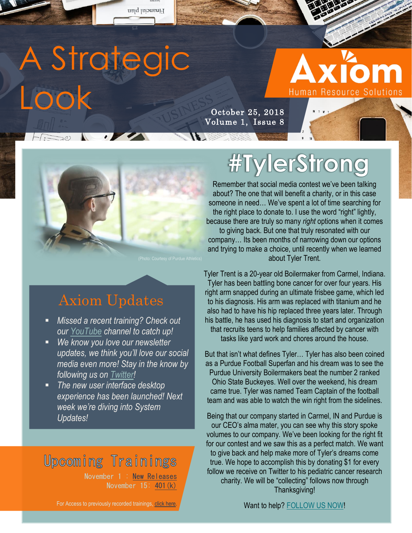# A Strategic Look

 $H:=\{0\}$ 

Financial plan

# **Human Resource Solutions**

**CONSTRUCTION** 

October 25, 2018 Volume 1, Issue 8



### Axiom Updates

- *Missed a recent training? Check out our [YouTube](https://www.youtube.com/channel/UCSYdgYJu4VHUM9JMuprBXzg/videos?view_as=subscriber) channel to catch up!*
- *We know you love our newsletter updates, we think you'll love our social media even more! Stay in the know by following us on [Twitter!](https://twitter.com/AxiomHRS)*
- *The new user interface desktop experience has been launched! Next week we're diving into System Updates!*

### **Upcoming Trainings**

November 1 : [New Releases](https://www.eventbrite.com/e/new-releases-tickets-50786674310) November 15: [401\(k\)](https://www.eventbrite.com/e/401k-tickets-50786748532)

#### For Access to previously recorded trainings, [click here.](https://www.youtube.com/channel/UCSYdgYJu4VHUM9JMuprBXzg?view_as=subscriber)

## **#TylerStrong**

Remember that social media contest we've been talking about? The one that will benefit a charity, or in this case someone in need… We've spent a lot of time searching for the right place to donate to. I use the word "right" lightly, because there are truly so many *right* options when it comes to giving back. But one that truly resonated with our company… Its been months of narrowing down our options and trying to make a choice, until recently when we learned about Tyler Trent.

Tyler Trent is a 20-year old Boilermaker from Carmel, Indiana. Tyler has been battling bone cancer for over four years. His right arm snapped during an ultimate frisbee game, which led to his diagnosis. His arm was replaced with titanium and he also had to have his hip replaced three years later. Through his battle, he has used his diagnosis to start and organization that recruits teens to help families affected by cancer with tasks like yard work and chores around the house.

But that isn't what defines Tyler… Tyler has also been coined as a Purdue Football Superfan and his dream was to see the Purdue University Boilermakers beat the number 2 ranked Ohio State Buckeyes. Well over the weekend, his dream came true. Tyler was named Team Captain of the football team and was able to watch the win right from the sidelines.

Being that our company started in Carmel, IN and Purdue is our CEO's alma mater, you can see why this story spoke volumes to our company. We've been looking for the right fit for our contest and we saw this as a perfect match. We want to give back and help make more of Tyler's dreams come true. We hope to accomplish this by donating \$1 for every follow we receive on Twitter to his pediatric cancer research charity. We will be "collecting" follows now through Thanksgiving!

Want to help? [FOLLOW US NOW!](https://twitter.com/AxiomHRS)